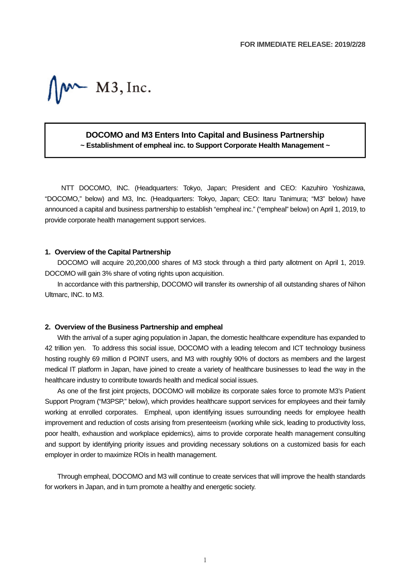$M^*$  M3, Inc.

# **DOCOMO and M3 Enters Into Capital and Business Partnership ~ Establishment of empheal inc. to Support Corporate Health Management ~**

NTT DOCOMO, INC. (Headquarters: Tokyo, Japan; President and CEO: Kazuhiro Yoshizawa, "DOCOMO," below) and M3, Inc. (Headquarters: Tokyo, Japan; CEO: Itaru Tanimura; "M3" below) have announced a capital and business partnership to establish "empheal inc." ("empheal" below) on April 1, 2019, to provide corporate health management support services.

## **1. Overview of the Capital Partnership**

DOCOMO will acquire 20,200,000 shares of M3 stock through a third party allotment on April 1, 2019. DOCOMO will gain 3% share of voting rights upon acquisition.

In accordance with this partnership, DOCOMO will transfer its ownership of all outstanding shares of Nihon Ultmarc, INC. to M3.

#### **2. Overview of the Business Partnership and empheal**

With the arrival of a super aging population in Japan, the domestic healthcare expenditure has expanded to 42 trillion yen. To address this social issue, DOCOMO with a leading telecom and ICT technology business hosting roughly 69 million d POINT users, and M3 with roughly 90% of doctors as members and the largest medical IT platform in Japan, have joined to create a variety of healthcare businesses to lead the way in the healthcare industry to contribute towards health and medical social issues.

As one of the first joint projects, DOCOMO will mobilize its corporate sales force to promote M3's Patient Support Program ("M3PSP," below), which provides healthcare support services for employees and their family working at enrolled corporates. Empheal, upon identifying issues surrounding needs for employee health improvement and reduction of costs arising from presenteeism (working while sick, leading to productivity loss, poor health, exhaustion and workplace epidemics), aims to provide corporate health management consulting and support by identifying priority issues and providing necessary solutions on a customized basis for each employer in order to maximize ROIs in health management.

Through empheal, DOCOMO and M3 will continue to create services that will improve the health standards for workers in Japan, and in turn promote a healthy and energetic society.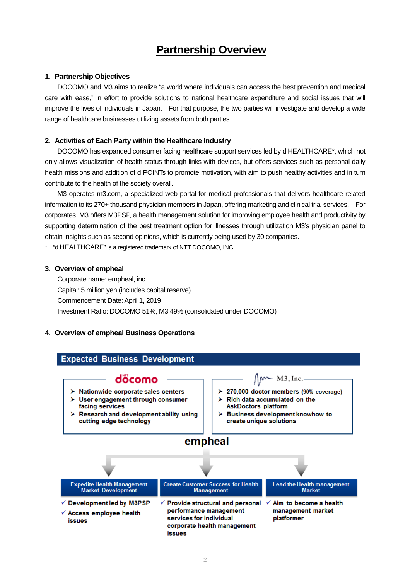# **Partnership Overview**

## **1. Partnership Objectives**

DOCOMO and M3 aims to realize "a world where individuals can access the best prevention and medical care with ease," in effort to provide solutions to national healthcare expenditure and social issues that will improve the lives of individuals in Japan. For that purpose, the two parties will investigate and develop a wide range of healthcare businesses utilizing assets from both parties.

## **2. Activities of Each Party within the Healthcare Industry**

DOCOMO has expanded consumer facing healthcare support services led by d HEALTHCARE\*, which not only allows visualization of health status through links with devices, but offers services such as personal daily health missions and addition of d POINTs to promote motivation, with aim to push healthy activities and in turn contribute to the health of the society overall.

M3 operates m3.com, a specialized web portal for medical professionals that delivers healthcare related information to its 270+ thousand physician members in Japan, offering marketing and clinical trial services. For corporates, M3 offers M3PSP, a health management solution for improving employee health and productivity by supporting determination of the best treatment option for illnesses through utilization M3's physician panel to obtain insights such as second opinions, which is currently being used by 30 companies.

\* "d HEALTHCARE" is a registered trademark of NTT DOCOMO, INC.

#### **3. Overview of empheal**

Corporate name: empheal, inc. Capital: 5 million yen (includes capital reserve) Commencement Date: April 1, 2019 Investment Ratio: DOCOMO 51%, M3 49% (consolidated under DOCOMO)

# **4. Overview of empheal Business Operations**